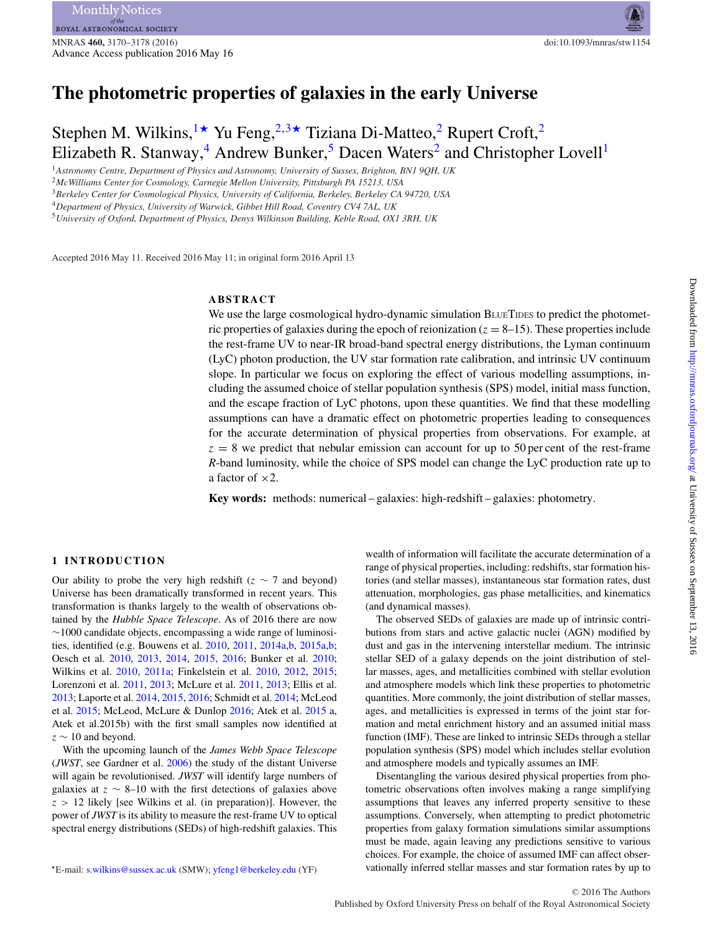# **The photometric properties of galaxies in the early Universe**

Stephen M. Wilkins,  $\rightarrow$  Yu Feng,  $2.3 \times$  $2.3 \times$  Tiziana Di-Matteo, 2 Rupert Croft, 2 Elizabeth R. Stanway,<sup>[4](#page-0-4)</sup> Andrew Bunker,<sup>[5](#page-0-5)</sup> Dacen Waters<sup>2</sup> and Christopher Lovell<sup>[1](#page-0-0)</sup>

<span id="page-0-0"></span><sup>1</sup>*Astronomy Centre, Department of Physics and Astronomy, University of Sussex, Brighton, BN1 9QH, UK*

<span id="page-0-2"></span><sup>2</sup>*McWilliams Center for Cosmology, Carnegie Mellon University, Pittsburgh PA 15213, USA*

<span id="page-0-3"></span><sup>3</sup>*Berkeley Center for Cosmological Physics, University of California, Berkeley, Berkeley CA 94720, USA*

<span id="page-0-4"></span><sup>4</sup>*Department of Physics, University of Warwick, Gibbet Hill Road, Coventry CV4 7AL, UK*

<span id="page-0-5"></span><sup>5</sup>*University of Oxford, Department of Physics, Denys Wilkinson Building, Keble Road, OX1 3RH, UK*

Accepted 2016 May 11. Received 2016 May 11; in original form 2016 April 13

# **ABSTRACT**

We use the large cosmological hydro-dynamic simulation BLUETIDES to predict the photometric properties of galaxies during the epoch of reionization ( $z = 8-15$ ). These properties include the rest-frame UV to near-IR broad-band spectral energy distributions, the Lyman continuum (LyC) photon production, the UV star formation rate calibration, and intrinsic UV continuum slope. In particular we focus on exploring the effect of various modelling assumptions, including the assumed choice of stellar population synthesis (SPS) model, initial mass function, and the escape fraction of LyC photons, upon these quantities. We find that these modelling assumptions can have a dramatic effect on photometric properties leading to consequences for the accurate determination of physical properties from observations. For example, at  $z = 8$  we predict that nebular emission can account for up to 50 per cent of the rest-frame *R*-band luminosity, while the choice of SPS model can change the LyC production rate up to a factor of  $\times 2$ .

**Key words:** methods: numerical – galaxies: high-redshift – galaxies: photometry.

#### **1 INTRODUCTION**

Our ability to probe the very high redshift ( $z \sim 7$  and beyond) Universe has been dramatically transformed in recent years. This transformation is thanks largely to the wealth of observations obtained by the *Hubble Space Telescope*. As of 2016 there are now ∼1000 candidate objects, encompassing a wide range of luminosities, identified (e.g. Bouwens et al. [2010,](#page-7-0) [2011,](#page-7-1) [2014a](#page-7-2)[,b,](#page-7-3) [2015a](#page-7-4)[,b;](#page-7-5) Oesch et al. [2010,](#page-8-0) [2013,](#page-8-1) [2014,](#page-8-2) [2015,](#page-8-3) [2016;](#page-8-4) Bunker et al. [2010;](#page-7-6) Wilkins et al. [2010,](#page-8-5) [2011a;](#page-8-6) Finkelstein et al. [2010,](#page-8-7) [2012,](#page-8-8) [2015;](#page-8-9) Lorenzoni et al. [2011,](#page-8-10) [2013;](#page-8-11) McLure et al. [2011,](#page-8-12) [2013;](#page-8-13) Ellis et al. [2013;](#page-8-14) Laporte et al. [2014,](#page-8-15) [2015,](#page-8-16) [2016;](#page-8-17) Schmidt et al. [2014;](#page-8-18) McLeod et al. [2015;](#page-8-19) McLeod, McLure & Dunlop [2016;](#page-8-20) Atek et al. [2015](#page-7-7) a, Atek et al.2015b) with the first small samples now identified at  $z \sim 10$  and beyond.

With the upcoming launch of the *James Webb Space Telescope* (*JWST*, see Gardner et al. [2006\)](#page-8-21) the study of the distant Universe will again be revolutionised. *JWST* will identify large numbers of galaxies at  $z \sim 8-10$  with the first detections of galaxies above  $z > 12$  likely [see Wilkins et al. (in preparation)]. However, the power of *JWST* is its ability to measure the rest-frame UV to optical spectral energy distributions (SEDs) of high-redshift galaxies. This

<span id="page-0-1"></span>-E-mail: [s.wilkins@sussex.ac.uk](mailto:s.wilkins@sussex.ac.uk) (SMW); [yfeng1@berkeley.edu](mailto:yfeng1@berkeley.edu) (YF)

wealth of information will facilitate the accurate determination of a range of physical properties, including: redshifts, star formation histories (and stellar masses), instantaneous star formation rates, dust attenuation, morphologies, gas phase metallicities, and kinematics (and dynamical masses).

The observed SEDs of galaxies are made up of intrinsic contributions from stars and active galactic nuclei (AGN) modified by dust and gas in the intervening interstellar medium. The intrinsic stellar SED of a galaxy depends on the joint distribution of stellar masses, ages, and metallicities combined with stellar evolution and atmosphere models which link these properties to photometric quantities. More commonly, the joint distribution of stellar masses, ages, and metallicities is expressed in terms of the joint star formation and metal enrichment history and an assumed initial mass function (IMF). These are linked to intrinsic SEDs through a stellar population synthesis (SPS) model which includes stellar evolution and atmosphere models and typically assumes an IMF.

Disentangling the various desired physical properties from photometric observations often involves making a range simplifying assumptions that leaves any inferred property sensitive to these assumptions. Conversely, when attempting to predict photometric properties from galaxy formation simulations similar assumptions must be made, again leaving any predictions sensitive to various choices. For example, the choice of assumed IMF can affect observationally inferred stellar masses and star formation rates by up to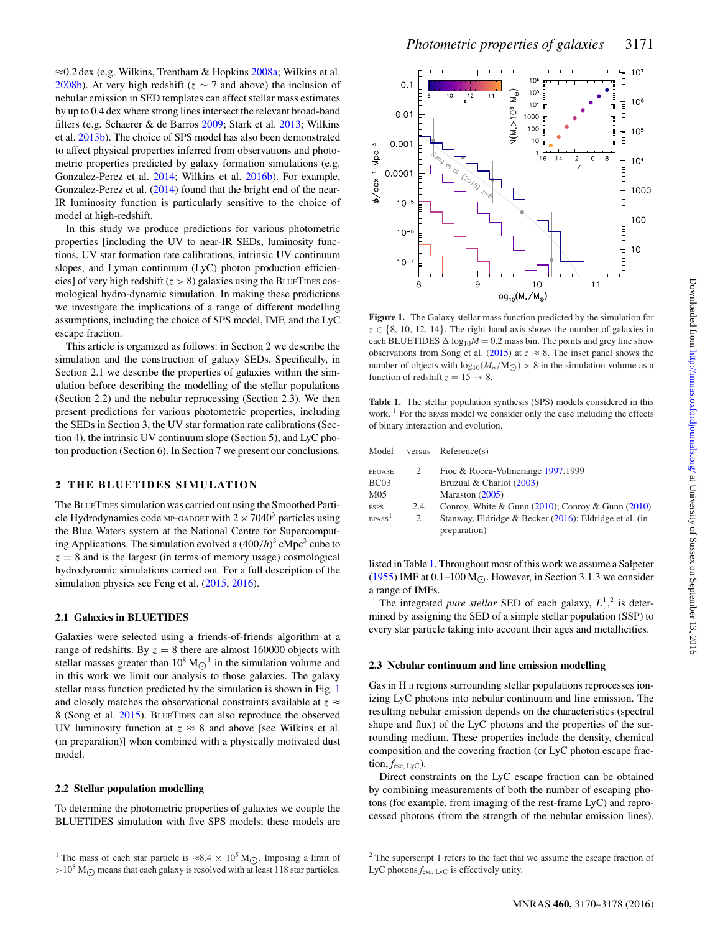≈0.2 dex (e.g. Wilkins, Trentham & Hopkins [2008a;](#page-8-22) Wilkins et al. [2008b\)](#page-8-23). At very high redshift ( $z \sim 7$  and above) the inclusion of nebular emission in SED templates can affect stellar mass estimates by up to 0.4 dex where strong lines intersect the relevant broad-band filters (e.g. Schaerer & de Barros [2009;](#page-8-24) Stark et al. [2013;](#page-8-25) Wilkins et al. [2013b\)](#page-8-26). The choice of SPS model has also been demonstrated to affect physical properties inferred from observations and photometric properties predicted by galaxy formation simulations (e.g. Gonzalez-Perez et al. [2014;](#page-8-27) Wilkins et al. [2016b\)](#page-8-28). For example, Gonzalez-Perez et al. [\(2014\)](#page-8-27) found that the bright end of the near-IR luminosity function is particularly sensitive to the choice of model at high-redshift.

In this study we produce predictions for various photometric properties [including the UV to near-IR SEDs, luminosity functions, UV star formation rate calibrations, intrinsic UV continuum slopes, and Lyman continuum (LyC) photon production efficiencies] of very high redshift  $(z > 8)$  galaxies using the BLUETIDES cosmological hydro-dynamic simulation. In making these predictions we investigate the implications of a range of different modelling assumptions, including the choice of SPS model, IMF, and the LyC escape fraction.

This article is organized as follows: in Section 2 we describe the simulation and the construction of galaxy SEDs. Specifically, in Section 2.1 we describe the properties of galaxies within the simulation before describing the modelling of the stellar populations (Section 2.2) and the nebular reprocessing (Section 2.3). We then present predictions for various photometric properties, including the SEDs in Section 3, the UV star formation rate calibrations (Section 4), the intrinsic UV continuum slope (Section 5), and LyC photon production (Section 6). In Section 7 we present our conclusions.

## **2 THE BLUETIDES SIMULATION**

The BLUETIDES simulation was carried out using the Smoothed Particle Hydrodynamics code MP-GADGET with  $2 \times 7040^3$  particles using the Blue Waters system at the National Centre for Supercomputing Applications. The simulation evolved a  $(400/h)^3$  cMpc<sup>3</sup> cube to  $z = 8$  and is the largest (in terms of memory usage) cosmological hydrodynamic simulations carried out. For a full description of the simulation physics see Feng et al. [\(2015,](#page-8-29) [2016\)](#page-8-30).

#### **2.1 Galaxies in BLUETIDES**

Galaxies were selected using a friends-of-friends algorithm at a range of redshifts. By  $z = 8$  there are almost 160000 objects with stellar masses greater than  $10^8 \text{ M}_{\odot}$ <sup>1</sup> in the simulation volume and in this work we limit our analysis to those galaxies. The galaxy stellar mass function predicted by the simulation is shown in Fig. [1](#page-1-0) and closely matches the observational constraints available at  $z \approx$ 8 (Song et al. [2015\)](#page-8-31). BLUETIDES can also reproduce the observed UV luminosity function at  $z \approx 8$  and above [see Wilkins et al. (in preparation)] when combined with a physically motivated dust model.

#### **2.2 Stellar population modelling**

To determine the photometric properties of galaxies we couple the BLUETIDES simulation with five SPS models; these models are

<span id="page-1-0"></span>

**Figure 1.** The Galaxy stellar mass function predicted by the simulation for  $z \in \{8, 10, 12, 14\}$ . The right-hand axis shows the number of galaxies in each BLUETIDES  $\Delta \log_{10} M = 0.2$  mass bin. The points and grey line show observations from Song et al. [\(2015\)](#page-8-31) at  $z \approx 8$ . The inset panel shows the number of objects with  $\log_{10}(M_*/{\rm M}_{\odot}) > 8$  in the simulation volume as a function of redshift  $z = 15 \rightarrow 8$ .

<span id="page-1-1"></span>**Table 1.** The stellar population synthesis (SPS) models considered in this work.  $\frac{1}{1}$  For the BPASS model we consider only the case including the effects of binary interaction and evolution.

| Model                          | versus         | Reference(s)                                                           |
|--------------------------------|----------------|------------------------------------------------------------------------|
| PEGASE                         | 2              | Fioc & Rocca-Volmerange 1997,1999                                      |
| BC <sub>03</sub>               |                | Bruzual & Charlot (2003)                                               |
| M <sub>05</sub>                |                | Maraston $(2005)$                                                      |
| <b>FSPS</b>                    | 2.4            | Conroy, White & Gunn $(2010)$ ; Conroy & Gunn $(2010)$                 |
| BP <sub>ASS</sub> <sup>1</sup> | $\mathfrak{D}$ | Stanway, Eldridge & Becker (2016); Eldridge et al. (in<br>preparation) |

listed in Table [1.](#page-1-1) Throughout most of this work we assume a Salpeter [\(1955\)](#page-8-35) IMF at  $0.1-100$  M $\odot$ . However, in Section 3.1.3 we consider a range of IMFs.

The integrated *pure stellar* SED of each galaxy,  $L_v^1$ ,<sup>2</sup> is determined by assigning the SED of a simple stellar population (SSP) to every star particle taking into account their ages and metallicities.

#### **2.3 Nebular continuum and line emission modelling**

Gas in H II regions surrounding stellar populations reprocesses ionizing LyC photons into nebular continuum and line emission. The resulting nebular emission depends on the characteristics (spectral shape and flux) of the LyC photons and the properties of the surrounding medium. These properties include the density, chemical composition and the covering fraction (or LyC photon escape frac- $\text{tion}, f_{\text{esc, LVC}})$ .

Direct constraints on the LyC escape fraction can be obtained by combining measurements of both the number of escaping photons (for example, from imaging of the rest-frame LyC) and reprocessed photons (from the strength of the nebular emission lines).

<sup>&</sup>lt;sup>1</sup> The mass of each star particle is ≈8.4 × 10<sup>5</sup> M<sub>O</sub>. Imposing a limit of  $>10^8$  M<sub> $\odot$ </sub> means that each galaxy is resolved with at least 118 star particles.

<sup>&</sup>lt;sup>2</sup> The superscript 1 refers to the fact that we assume the escape fraction of LyC photons  $f_{\text{esc, LyC}}$  is effectively unity.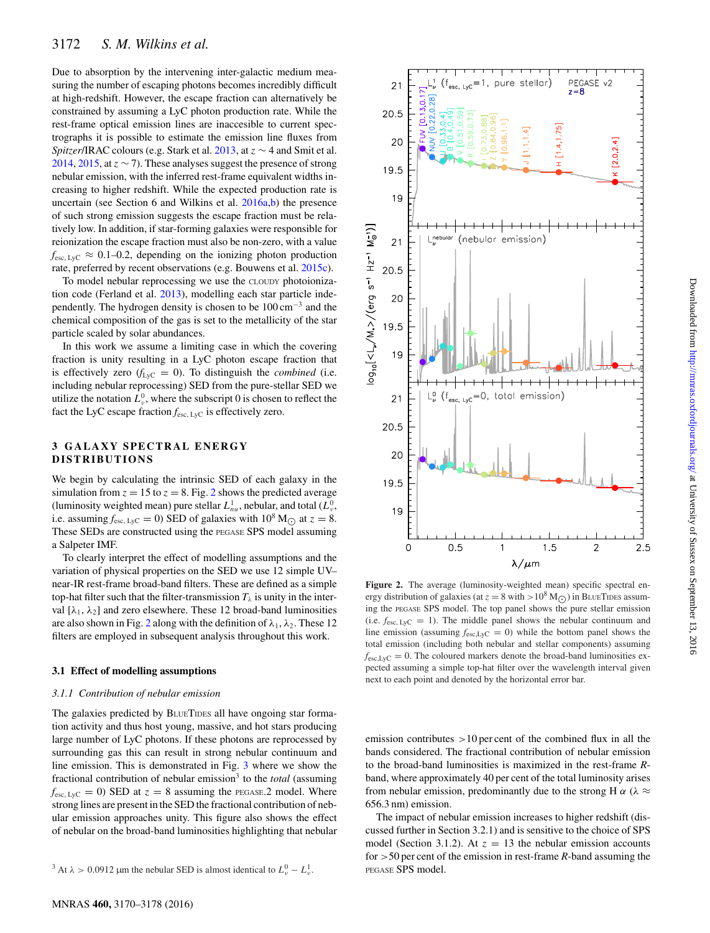Due to absorption by the intervening inter-galactic medium measuring the number of escaping photons becomes incredibly difficult at high-redshift. However, the escape fraction can alternatively be constrained by assuming a LyC photon production rate. While the rest-frame optical emission lines are inaccesible to current spectrographs it is possible to estimate the emission line fluxes from *Spitzer*/IRAC colours (e.g. Stark et al. [2013,](#page-8-25) at z ∼ 4 and Smit et al. [2014,](#page-8-36) [2015,](#page-8-37) at  $z \sim 7$ ). These analyses suggest the presence of strong nebular emission, with the inferred rest-frame equivalent widths increasing to higher redshift. While the expected production rate is uncertain (see Section 6 and Wilkins et al. [2016a,](#page-8-38)[b\)](#page-8-28) the presence of such strong emission suggests the escape fraction must be relatively low. In addition, if star-forming galaxies were responsible for reionization the escape fraction must also be non-zero, with a value  $f_{\text{esc, LyC}} \approx 0.1{\text{-}}0.2$ , depending on the ionizing photon production rate, preferred by recent observations (e.g. Bouwens et al. [2015c\)](#page-7-11).

To model nebular reprocessing we use the CLOUDY photoionization code (Ferland et al. [2013\)](#page-8-39), modelling each star particle independently. The hydrogen density is chosen to be  $100 \text{ cm}^{-3}$  and the chemical composition of the gas is set to the metallicity of the star particle scaled by solar abundances.

In this work we assume a limiting case in which the covering fraction is unity resulting in a LyC photon escape fraction that is effectively zero  $(f_{LVC} = 0)$ . To distinguish the *combined* (i.e. including nebular reprocessing) SED from the pure-stellar SED we utilize the notation  $L^0_\nu$ , where the subscript 0 is chosen to reflect the fact the LyC escape fraction  $f_{\text{esc, LyC}}$  is effectively zero.

## **3 GALAXY SPECTRAL ENERGY DISTRIBUTIONS**

We begin by calculating the intrinsic SED of each galaxy in the simulation from  $z = 15$  to  $z = 8$ . Fig. [2](#page-2-0) shows the predicted average (luminosity weighted mean) pure stellar  $L_{nu}^1$ , nebular, and total  $(L_v^0)$ , i.e. assuming  $f_{\text{esc, LyC}} = 0$ ) SED of galaxies with  $10^8 \text{ M}_{\odot}$  at  $z = 8$ . These SEDs are constructed using the PEGASE SPS model assuming a Salpeter IMF.

To clearly interpret the effect of modelling assumptions and the variation of physical properties on the SED we use 12 simple UV– near-IR rest-frame broad-band filters. These are defined as a simple top-hat filter such that the filter-transmission  $T_{\lambda}$  is unity in the interval  $[\lambda_1, \lambda_2]$  and zero elsewhere. These 12 broad-band luminosities are also shown in Fig. [2](#page-2-0) along with the definition of  $\lambda_1$ ,  $\lambda_2$ . These 12 filters are employed in subsequent analysis throughout this work.

#### **3.1 Effect of modelling assumptions**

#### *3.1.1 Contribution of nebular emission*

The galaxies predicted by BLUETIDES all have ongoing star formation activity and thus host young, massive, and hot stars producing large number of LyC photons. If these photons are reprocessed by surrounding gas this can result in strong nebular continuum and line emission. This is demonstrated in Fig. [3](#page-3-0) where we show the fractional contribution of nebular emission<sup>3</sup> to the *total* (assuming  $f_{\text{esc, LyC}} = 0$ ) SED at  $z = 8$  assuming the PEGASE.2 model. Where strong lines are present in the SED the fractional contribution of nebular emission approaches unity. This figure also shows the effect of nebular on the broad-band luminosities highlighting that nebular

```
<sup>3</sup> At \lambda > 0.0912 µm the nebular SED is almost identical to L_v^0 - L_v^1.
```
<span id="page-2-0"></span>

 $\lambda/\mu$ m Figure 2. The average (luminosity-weighted mean) specific spectral energy distribution of galaxies (at  $z = 8$  with  $> 10^8$  M $\odot$ ) in BLUETIDES assuming the PEGASE SPS model. The top panel shows the pure stellar emission (i.e.  $f_{\text{esc, LyC}} = 1$ ). The middle panel shows the nebular continuum and line emission (assuming  $f_{\text{esc,LyC}} = 0$ ) while the bottom panel shows the total emission (including both nebular and stellar components) assuming  $f_{\text{esc,LyC}} = 0$ . The coloured markers denote the broad-band luminosities expected assuming a simple top-hat filter over the wavelength interval given next to each point and denoted by the horizontal error bar.

emission contributes  $>10$  per cent of the combined flux in all the bands considered. The fractional contribution of nebular emission to the broad-band luminosities is maximized in the rest-frame *R*band, where approximately 40 per cent of the total luminosity arises from nebular emission, predominantly due to the strong H  $\alpha$  ( $\lambda \approx$ 656.3 nm) emission.

The impact of nebular emission increases to higher redshift (discussed further in Section 3.2.1) and is sensitive to the choice of SPS model (Section 3.1.2). At  $z = 13$  the nebular emission accounts for >50 per cent of the emission in rest-frame *R*-band assuming the PEGASE SPS model.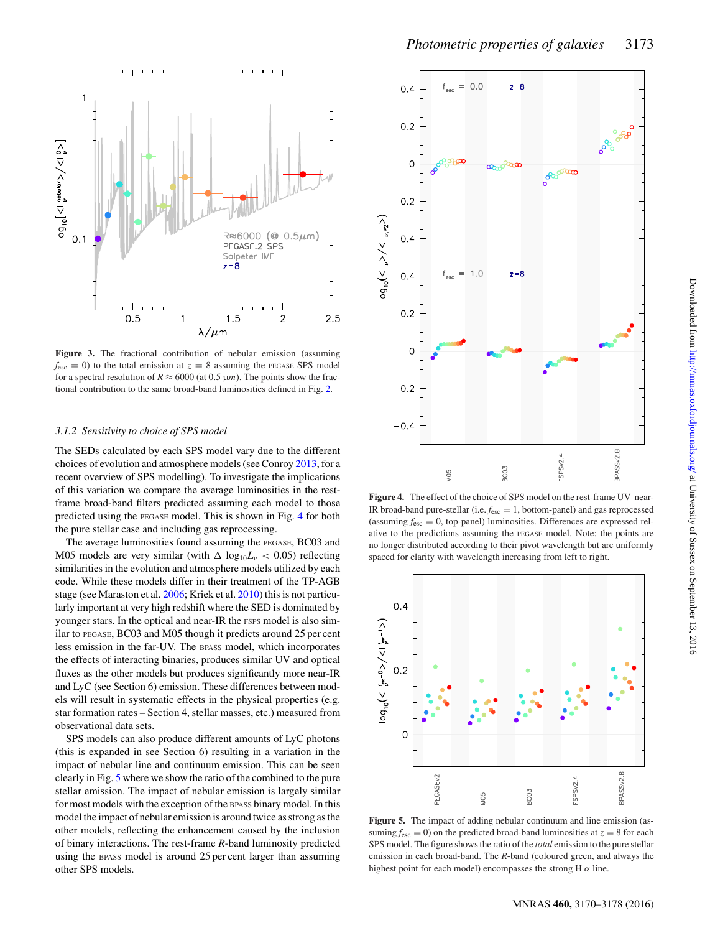<span id="page-3-0"></span>

**Figure 3.** The fractional contribution of nebular emission (assuming  $f_{\text{esc}} = 0$ ) to the total emission at  $z = 8$  assuming the PEGASE SPS model for a spectral resolution of  $R \approx 6000$  (at 0.5  $\mu$ m). The points show the fractional contribution to the same broad-band luminosities defined in Fig. [2.](#page-2-0)

#### *3.1.2 Sensitivity to choice of SPS model*

The SEDs calculated by each SPS model vary due to the different choices of evolution and atmosphere models (see Conroy [2013,](#page-7-12) for a recent overview of SPS modelling). To investigate the implications of this variation we compare the average luminosities in the restframe broad-band filters predicted assuming each model to those predicted using the PEGASE model. This is shown in Fig. [4](#page-3-1) for both the pure stellar case and including gas reprocessing.

The average luminosities found assuming the PEGASE, BC03 and M05 models are very similar (with  $\Delta \log_{10}L_v < 0.05$ ) reflecting similarities in the evolution and atmosphere models utilized by each code. While these models differ in their treatment of the TP-AGB stage (see Maraston et al. [2006;](#page-8-40) Kriek et al. [2010\)](#page-8-41) this is not particularly important at very high redshift where the SED is dominated by younger stars. In the optical and near-IR the FSPS model is also similar to PEGASE, BC03 and M05 though it predicts around 25 per cent less emission in the far-UV. The BPASS model, which incorporates the effects of interacting binaries, produces similar UV and optical fluxes as the other models but produces significantly more near-IR and LyC (see Section 6) emission. These differences between models will result in systematic effects in the physical properties (e.g. star formation rates – Section 4, stellar masses, etc.) measured from observational data sets.

SPS models can also produce different amounts of LyC photons (this is expanded in see Section 6) resulting in a variation in the impact of nebular line and continuum emission. This can be seen clearly in Fig. [5](#page-3-2) where we show the ratio of the combined to the pure stellar emission. The impact of nebular emission is largely similar for most models with the exception of the BPASS binary model. In this model the impact of nebular emission is around twice as strong as the other models, reflecting the enhancement caused by the inclusion of binary interactions. The rest-frame *R*-band luminosity predicted using the BPASS model is around 25 per cent larger than assuming other SPS models.

<span id="page-3-1"></span>

**Figure 4.** The effect of the choice of SPS model on the rest-frame UV–near-IR broad-band pure-stellar (i.e.  $f_{\text{esc}} = 1$ , bottom-panel) and gas reprocessed (assuming  $f_{\text{esc}} = 0$ , top-panel) luminosities. Differences are expressed relative to the predictions assuming the PEGASE model. Note: the points are no longer distributed according to their pivot wavelength but are uniformly spaced for clarity with wavelength increasing from left to right.

<span id="page-3-2"></span>

**Figure 5.** The impact of adding nebular continuum and line emission (assuming  $f_{\text{esc}} = 0$ ) on the predicted broad-band luminosities at  $z = 8$  for each SPS model. The figure shows the ratio of the *total* emission to the pure stellar emission in each broad-band. The *R*-band (coloured green, and always the highest point for each model) encompasses the strong H  $\alpha$  line.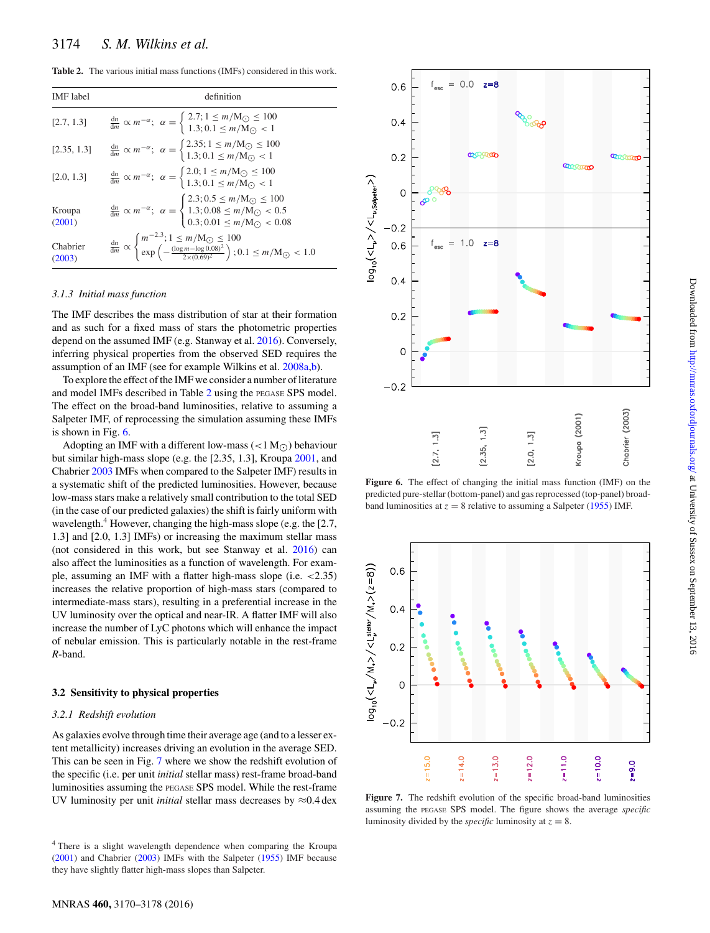<span id="page-4-0"></span>**Table 2.** The various initial mass functions (IMFs) considered in this work.

| <b>IMF</b> label   | definition                                                                                                                                                                                                                                                         |
|--------------------|--------------------------------------------------------------------------------------------------------------------------------------------------------------------------------------------------------------------------------------------------------------------|
| [2.7, 1.3]         | $\frac{dn}{dm} \propto m^{-\alpha}; \ \alpha = \begin{cases} 2.7; 1 \leq m/M_{\odot} \leq 100 \\ 1.3; 0.1 \leq m/M_{\odot} < 1 \end{cases}$                                                                                                                        |
| [2.35, 1.3]        | $\frac{dn}{dm} \propto m^{-\alpha}; \ \alpha = \begin{cases} 2.35; 1 \le m/M_{\odot} \le 100 \\ 1.3; 0.1 \le m/M_{\odot} < 1 \end{cases}$                                                                                                                          |
| [2.0, 1.3]         | $\frac{dn}{dm} \propto m^{-\alpha}; \ \alpha = \begin{cases} 2.0; 1 \leq m/M_{\odot} \leq 100 \\ 1.3; 0.1 \leq m/M_{\odot} < 1 \end{cases}$                                                                                                                        |
| Kroupa<br>(2001)   | $\frac{dn}{dm} \propto m^{-\alpha}; \ \alpha = \begin{cases} 2.3; 0.5 \le m/\text{M}_{\odot} \le 100 \\ 1.3; 0.08 \le m/\text{M}_{\odot} < 0.5 \\ 0.3; 0.01 \le m/\text{M}_{\odot} < 0.08 \end{cases}$                                                             |
| Chabrier<br>(2003) | $\begin{array}{l} \frac{\mathrm{d}n}{\mathrm{d}m} \propto \begin{cases} m^{-2.3};\, 1 \leq m/\mathrm{M}_{\bigodot} \leq 100 \\ \exp\left(-\frac{(\log m - \log 0.08)^2}{2 \times (0.69)^2}\right); 0.1 \leq m/\mathrm{M}_{\bigodot} < 1.0 \end{cases} \end{array}$ |

#### *3.1.3 Initial mass function*

The IMF describes the mass distribution of star at their formation and as such for a fixed mass of stars the photometric properties depend on the assumed IMF (e.g. Stanway et al. [2016\)](#page-8-34). Conversely, inferring physical properties from the observed SED requires the assumption of an IMF (see for example Wilkins et al. [2008a](#page-8-22)[,b\)](#page-8-23).

To explore the effect of the IMF we consider a number of literature and model IMFs described in Table [2](#page-4-0) using the PEGASE SPS model. The effect on the broad-band luminosities, relative to assuming a Salpeter IMF, of reprocessing the simulation assuming these IMFs is shown in Fig. [6.](#page-4-1)

Adopting an IMF with a different low-mass  $(<1 M<sub>O</sub>)$  behaviour but similar high-mass slope (e.g. the [2.35, 1.3], Kroupa [2001,](#page-8-42) and Chabrier [2003](#page-7-13) IMFs when compared to the Salpeter IMF) results in a systematic shift of the predicted luminosities. However, because low-mass stars make a relatively small contribution to the total SED (in the case of our predicted galaxies) the shift is fairly uniform with wavelength. $4$  However, changing the high-mass slope (e.g. the [2.7, 1.3] and [2.0, 1.3] IMFs) or increasing the maximum stellar mass (not considered in this work, but see Stanway et al. [2016\)](#page-8-34) can also affect the luminosities as a function of wavelength. For example, assuming an IMF with a flatter high-mass slope (i.e. <2.35) increases the relative proportion of high-mass stars (compared to intermediate-mass stars), resulting in a preferential increase in the UV luminosity over the optical and near-IR. A flatter IMF will also increase the number of LyC photons which will enhance the impact of nebular emission. This is particularly notable in the rest-frame *R*-band.

#### **3.2 Sensitivity to physical properties**

#### *3.2.1 Redshift evolution*

As galaxies evolve through time their average age (and to a lesser extent metallicity) increases driving an evolution in the average SED. This can be seen in Fig. [7](#page-4-2) where we show the redshift evolution of the specific (i.e. per unit *initial* stellar mass) rest-frame broad-band luminosities assuming the PEGASE SPS model. While the rest-frame UV luminosity per unit *initial* stellar mass decreases by  $\approx 0.4$  dex

<span id="page-4-1"></span>

**Figure 6.** The effect of changing the initial mass function (IMF) on the predicted pure-stellar (bottom-panel) and gas reprocessed (top-panel) broadband luminosities at  $z = 8$  relative to assuming a Salpeter [\(1955\)](#page-8-35) IMF.

<span id="page-4-2"></span>

Figure 7. The redshift evolution of the specific broad-band luminosities assuming the PEGASE SPS model. The figure shows the average *specific* luminosity divided by the *specific* luminosity at  $z = 8$ .

<sup>4</sup> There is a slight wavelength dependence when comparing the Kroupa [\(2001\)](#page-8-42) and Chabrier [\(2003\)](#page-7-13) IMFs with the Salpeter [\(1955\)](#page-8-35) IMF because they have slightly flatter high-mass slopes than Salpeter.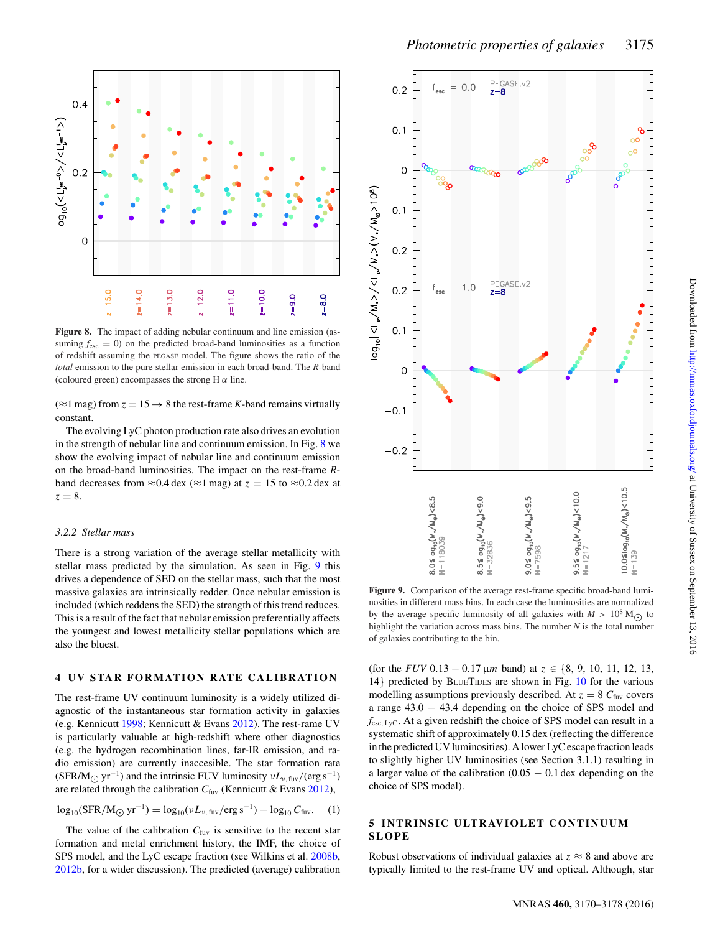<span id="page-5-0"></span>

**Figure 8.** The impact of adding nebular continuum and line emission (assuming  $f_{\text{esc}} = 0$ ) on the predicted broad-band luminosities as a function of redshift assuming the PEGASE model. The figure shows the ratio of the *total* emission to the pure stellar emission in each broad-band. The *R*-band (coloured green) encompasses the strong H  $\alpha$  line.

 $(\approx 1 \text{ mag})$  from  $z = 15 \rightarrow 8$  the rest-frame *K*-band remains virtually constant.

The evolving LyC photon production rate also drives an evolution in the strength of nebular line and continuum emission. In Fig. [8](#page-5-0) we show the evolving impact of nebular line and continuum emission on the broad-band luminosities. The impact on the rest-frame *R*band decreases from  $\approx 0.4$  dex ( $\approx 1$  mag) at  $z = 15$  to  $\approx 0.2$  dex at  $z = 8$ .

## *3.2.2 Stellar mass*

There is a strong variation of the average stellar metallicity with stellar mass predicted by the simulation. As seen in Fig. [9](#page-5-1) this drives a dependence of SED on the stellar mass, such that the most massive galaxies are intrinsically redder. Once nebular emission is included (which reddens the SED) the strength of this trend reduces. This is a result of the fact that nebular emission preferentially affects the youngest and lowest metallicity stellar populations which are also the bluest.

## **4 UV STAR FORMATION RATE CALIBRATION**

The rest-frame UV continuum luminosity is a widely utilized diagnostic of the instantaneous star formation activity in galaxies (e.g. Kennicutt [1998;](#page-8-43) Kennicutt & Evans [2012\)](#page-8-44). The rest-rame UV is particularly valuable at high-redshift where other diagnostics (e.g. the hydrogen recombination lines, far-IR emission, and radio emission) are currently inaccesible. The star formation rate (SFR/M<sub> $\odot$ </sub> yr<sup>-1</sup>) and the intrinsic FUV luminosity  $vL_{\nu, \text{fuv}}/(\text{erg s}^{-1})$ are related through the calibration  $C_{\text{fuv}}$  (Kennicutt & Evans [2012\)](#page-8-44),

$$
\log_{10}(SFR/M_{\odot} \, yr^{-1}) = \log_{10}(\nu L_{\nu, \, \text{fuv}}/\text{erg s}^{-1}) - \log_{10} C_{\text{fuv}}.\tag{1}
$$

The value of the calibration  $C_{\text{fuv}}$  is sensitive to the recent star formation and metal enrichment history, the IMF, the choice of SPS model, and the LyC escape fraction (see Wilkins et al. [2008b,](#page-8-23) [2012b,](#page-8-45) for a wider discussion). The predicted (average) calibration

<span id="page-5-1"></span>

Figure 9. Comparison of the average rest-frame specific broad-band luminosities in different mass bins. In each case the luminosities are normalized by the average specific luminosity of all galaxies with  $M > 10^8$  M<sub> $\odot$ </sub> to highlight the variation across mass bins. The number *N* is the total number of galaxies contributing to the bin.

(for the *FUV* 0.13 – 0.17  $\mu$ m band) at  $z \in \{8, 9, 10, 11, 12, 13,$ 14} predicted by BLUETIDES are shown in Fig. [10](#page-6-0) for the various modelling assumptions previously described. At  $z = 8$   $C_{\text{fuv}}$  covers a range 43.0 − 43.4 depending on the choice of SPS model and *f*esc, LyC. At a given redshift the choice of SPS model can result in a systematic shift of approximately 0.15 dex (reflecting the difference in the predicted UV luminosities). A lower LyC escape fraction leads to slightly higher UV luminosities (see Section 3.1.1) resulting in a larger value of the calibration  $(0.05 - 0.1$  dex depending on the choice of SPS model).

# **5 INTRINSIC ULTRAVIOLET CONTINUUM SLOPE**

Robust observations of individual galaxies at  $z \approx 8$  and above are typically limited to the rest-frame UV and optical. Although, star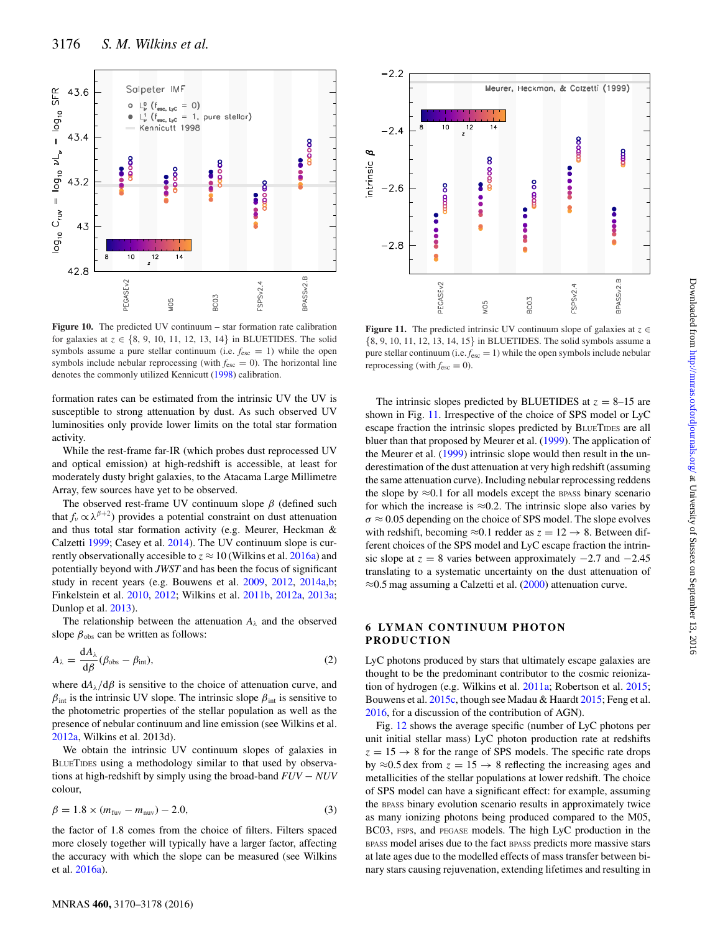<span id="page-6-0"></span>

**Figure 10.** The predicted UV continuum – star formation rate calibration for galaxies at  $z \in \{8, 9, 10, 11, 12, 13, 14\}$  in BLUETIDES. The solid symbols assume a pure stellar continuum (i.e.  $f_{\text{esc}} = 1$ ) while the open symbols include nebular reprocessing (with  $f_{\text{esc}} = 0$ ). The horizontal line denotes the commonly utilized Kennicutt [\(1998\)](#page-8-43) calibration.

formation rates can be estimated from the intrinsic UV the UV is susceptible to strong attenuation by dust. As such observed UV luminosities only provide lower limits on the total star formation activity.

While the rest-frame far-IR (which probes dust reprocessed UV and optical emission) at high-redshift is accessible, at least for moderately dusty bright galaxies, to the Atacama Large Millimetre Array, few sources have yet to be observed.

The observed rest-frame UV continuum slope  $\beta$  (defined such that  $f_\nu \propto \lambda^{\beta+2}$ ) provides a potential constraint on dust attenuation and thus total star formation activity (e.g. Meurer, Heckman & Calzetti [1999;](#page-8-46) Casey et al. [2014\)](#page-7-14). The UV continuum slope is currently observationally accesible to  $z \approx 10$  (Wilkins et al. [2016a\)](#page-8-38) and potentially beyond with *JWST* and has been the focus of significant study in recent years (e.g. Bouwens et al. [2009,](#page-7-15) [2012,](#page-7-16) [2014a](#page-7-2)[,b;](#page-7-3) Finkelstein et al. [2010,](#page-8-7) [2012;](#page-8-8) Wilkins et al. [2011b,](#page-8-47) [2012a,](#page-8-48) [2013a;](#page-8-49) Dunlop et al. [2013\)](#page-7-17).

The relationship between the attenuation  $A_{\lambda}$  and the observed slope  $\beta_{obs}$  can be written as follows:

$$
A_{\lambda} = \frac{dA_{\lambda}}{d\beta} (\beta_{\text{obs}} - \beta_{\text{int}}),
$$
 (2)

where  $dA_{\lambda}/d\beta$  is sensitive to the choice of attenuation curve, and  $\beta_{\text{int}}$  is the intrinsic UV slope. The intrinsic slope  $\beta_{\text{int}}$  is sensitive to the photometric properties of the stellar population as well as the presence of nebular continuum and line emission (see Wilkins et al. [2012a,](#page-8-48) Wilkins et al. 2013d).

We obtain the intrinsic UV continuum slopes of galaxies in BLUETIDES using a methodology similar to that used by observations at high-redshift by simply using the broad-band *FUV* − *NUV* colour,

$$
\beta = 1.8 \times (m_{\text{fuv}} - m_{\text{nu}}) - 2.0, \tag{3}
$$

the factor of 1.8 comes from the choice of filters. Filters spaced more closely together will typically have a larger factor, affecting the accuracy with which the slope can be measured (see Wilkins et al. [2016a\)](#page-8-38).

<span id="page-6-1"></span>

**Figure 11.** The predicted intrinsic UV continuum slope of galaxies at  $z \in \mathbb{R}$ {8, 9, 10, 11, 12, 13, 14, 15} in BLUETIDES. The solid symbols assume a pure stellar continuum (i.e.  $f_{\text{esc}} = 1$ ) while the open symbols include nebular reprocessing (with  $f_{\text{esc}} = 0$ ).

The intrinsic slopes predicted by BLUETIDES at  $z = 8-15$  are shown in Fig. [11.](#page-6-1) Irrespective of the choice of SPS model or LyC escape fraction the intrinsic slopes predicted by BLUETIDES are all bluer than that proposed by Meurer et al. [\(1999\)](#page-8-46). The application of the Meurer et al. [\(1999\)](#page-8-46) intrinsic slope would then result in the underestimation of the dust attenuation at very high redshift (assuming the same attenuation curve). Including nebular reprocessing reddens the slope by  $\approx 0.1$  for all models except the BPASS binary scenario for which the increase is  $\approx 0.2$ . The intrinsic slope also varies by  $\sigma \approx 0.05$  depending on the choice of SPS model. The slope evolves with redshift, becoming  $\approx 0.1$  redder as  $z = 12 \rightarrow 8$ . Between different choices of the SPS model and LyC escape fraction the intrinsic slope at  $z = 8$  varies between approximately  $-2.7$  and  $-2.45$ translating to a systematic uncertainty on the dust attenuation of ≈0.5 mag assuming a Calzetti et al. [\(2000\)](#page-7-18) attenuation curve.

# **6 LYMAN CONTINUUM PHOTON PRODUCTION**

LyC photons produced by stars that ultimately escape galaxies are thought to be the predominant contributor to the cosmic reionization of hydrogen (e.g. Wilkins et al. [2011a;](#page-8-6) Robertson et al. [2015;](#page-8-50) Bouwens et al. [2015c,](#page-7-11) though see Madau & Haardt [2015;](#page-8-51) Feng et al. [2016,](#page-8-30) for a discussion of the contribution of AGN).

Fig. [12](#page-7-19) shows the average specific (number of LyC photons per unit initial stellar mass) LyC photon production rate at redshifts  $z = 15 \rightarrow 8$  for the range of SPS models. The specific rate drops by  $\approx$ 0.5 dex from  $z = 15 \rightarrow 8$  reflecting the increasing ages and metallicities of the stellar populations at lower redshift. The choice of SPS model can have a significant effect: for example, assuming the BPASS binary evolution scenario results in approximately twice as many ionizing photons being produced compared to the M05, BC03, FSPS, and PEGASE models. The high LyC production in the BPASS model arises due to the fact BPASS predicts more massive stars at late ages due to the modelled effects of mass transfer between binary stars causing rejuvenation, extending lifetimes and resulting in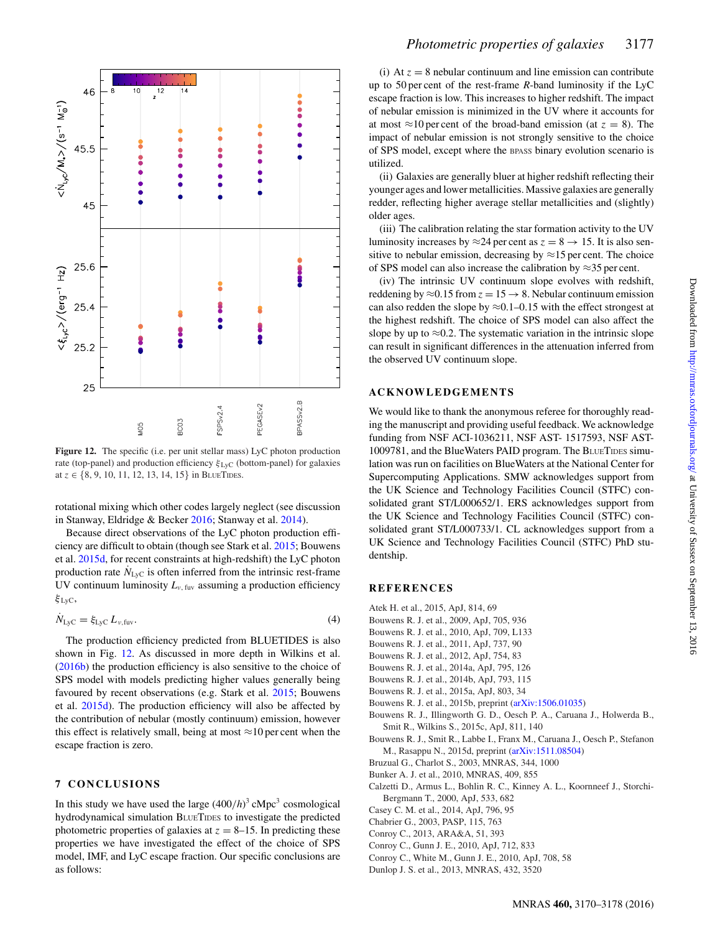<span id="page-7-19"></span>

Figure 12. The specific (i.e. per unit stellar mass) LyC photon production rate (top-panel) and production efficiency  $\xi_{Lyc}$  (bottom-panel) for galaxies at  $z \in \{8, 9, 10, 11, 12, 13, 14, 15\}$  in BLUETIDES.

rotational mixing which other codes largely neglect (see discussion in Stanway, Eldridge & Becker [2016;](#page-8-34) Stanway et al. [2014\)](#page-8-52).

Because direct observations of the LyC photon production efficiency are difficult to obtain (though see Stark et al. [2015;](#page-8-53) Bouwens et al. [2015d,](#page-7-20) for recent constraints at high-redshift) the LyC photon production rate  $N_{LyC}$  is often inferred from the intrinsic rest-frame UV continuum luminosity  $L_{\nu, \text{fuv}}$  assuming a production efficiency  $ξ$ <sub>LyC</sub>,

$$
\dot{N}_{\text{Lyc}} = \xi_{\text{Lyc}} L_{\nu,\text{fuv}}.\tag{4}
$$

The production efficiency predicted from BLUETIDES is also shown in Fig. [12.](#page-7-19) As discussed in more depth in Wilkins et al. [\(2016b\)](#page-8-28) the production efficiency is also sensitive to the choice of SPS model with models predicting higher values generally being favoured by recent observations (e.g. Stark et al. [2015;](#page-8-53) Bouwens et al. [2015d\)](#page-7-20). The production efficiency will also be affected by the contribution of nebular (mostly continuum) emission, however this effect is relatively small, being at most  $\approx$ 10 per cent when the escape fraction is zero.

# **7 CONCLUSIONS**

In this study we have used the large  $(400/h)^3$  cMpc<sup>3</sup> cosmological hydrodynamical simulation BLUETIDES to investigate the predicted photometric properties of galaxies at  $z = 8-15$ . In predicting these properties we have investigated the effect of the choice of SPS model, IMF, and LyC escape fraction. Our specific conclusions are as follows:

(i) At  $z = 8$  nebular continuum and line emission can contribute up to 50 per cent of the rest-frame *R*-band luminosity if the LyC escape fraction is low. This increases to higher redshift. The impact of nebular emission is minimized in the UV where it accounts for at most  $\approx$ 10 per cent of the broad-band emission (at  $z = 8$ ). The impact of nebular emission is not strongly sensitive to the choice of SPS model, except where the BPASS binary evolution scenario is utilized.

(ii) Galaxies are generally bluer at higher redshift reflecting their younger ages and lower metallicities. Massive galaxies are generally redder, reflecting higher average stellar metallicities and (slightly) older ages.

(iii) The calibration relating the star formation activity to the UV luminosity increases by  $\approx$  24 per cent as  $z = 8 \rightarrow 15$ . It is also sensitive to nebular emission, decreasing by  $\approx$ 15 per cent. The choice of SPS model can also increase the calibration by ≈35 per cent.

(iv) The intrinsic UV continuum slope evolves with redshift, reddening by  $\approx 0.15$  from  $z = 15 \rightarrow 8$ . Nebular continuum emission can also redden the slope by  $\approx 0.1$ –0.15 with the effect strongest at the highest redshift. The choice of SPS model can also affect the slope by up to  $\approx 0.2$ . The systematic variation in the intrinsic slope can result in significant differences in the attenuation inferred from the observed UV continuum slope.

## **ACKNOWLEDGEMENTS**

We would like to thank the anonymous referee for thoroughly reading the manuscript and providing useful feedback. We acknowledge funding from NSF ACI-1036211, NSF AST- 1517593, NSF AST-1009781, and the BlueWaters PAID program. The BLUETIDES simulation was run on facilities on BlueWaters at the National Center for Supercomputing Applications. SMW acknowledges support from the UK Science and Technology Facilities Council (STFC) consolidated grant ST/L000652/1. ERS acknowledges support from the UK Science and Technology Facilities Council (STFC) consolidated grant ST/L000733/1. CL acknowledges support from a UK Science and Technology Facilities Council (STFC) PhD studentship.

# **REFERENCES**

- <span id="page-7-7"></span>Atek H. et al., 2015, ApJ, 814, 69
- <span id="page-7-15"></span>Bouwens R. J. et al., 2009, ApJ, 705, 936
- <span id="page-7-0"></span>Bouwens R. J. et al., 2010, ApJ, 709, L133
- <span id="page-7-1"></span>Bouwens R. J. et al., 2011, ApJ, 737, 90
- <span id="page-7-16"></span>Bouwens R. J. et al., 2012, ApJ, 754, 83 Bouwens R. J. et al., 2014a, ApJ, 795, 126
- <span id="page-7-3"></span><span id="page-7-2"></span>Bouwens R. J. et al., 2014b, ApJ, 793, 115
- <span id="page-7-4"></span>Bouwens R. J. et al., 2015a, ApJ, 803, 34
- <span id="page-7-5"></span>Bouwens R. J. et al., 2015b, preprint [\(arXiv:1506.01035\)](http://arxiv.org/abs/1506.01035)
- 
- <span id="page-7-11"></span>Bouwens R. J., Illingworth G. D., Oesch P. A., Caruana J., Holwerda B., Smit R., Wilkins S., 2015c, ApJ, 811, 140
- <span id="page-7-20"></span>Bouwens R. J., Smit R., Labbe I., Franx M., Caruana J., Oesch P., Stefanon M., Rasappu N., 2015d, preprint [\(arXiv:1511.08504\)](http://arxiv.org/abs/1511.08504)
- <span id="page-7-8"></span>Bruzual G., Charlot S., 2003, MNRAS, 344, 1000
- <span id="page-7-6"></span>Bunker A. J. et al., 2010, MNRAS, 409, 855
- <span id="page-7-18"></span>Calzetti D., Armus L., Bohlin R. C., Kinney A. L., Koornneef J., Storchi-Bergmann T., 2000, ApJ, 533, 682
- <span id="page-7-14"></span>Casey C. M. et al., 2014, ApJ, 796, 95
- <span id="page-7-13"></span>Chabrier G., 2003, PASP, 115, 763
- <span id="page-7-12"></span>Conroy C., 2013, ARA&A, 51, 393
- <span id="page-7-10"></span>Conroy C., Gunn J. E., 2010, ApJ, 712, 833
- <span id="page-7-9"></span>Conroy C., White M., Gunn J. E., 2010, ApJ, 708, 58
- <span id="page-7-17"></span>Dunlop J. S. et al., 2013, MNRAS, 432, 3520